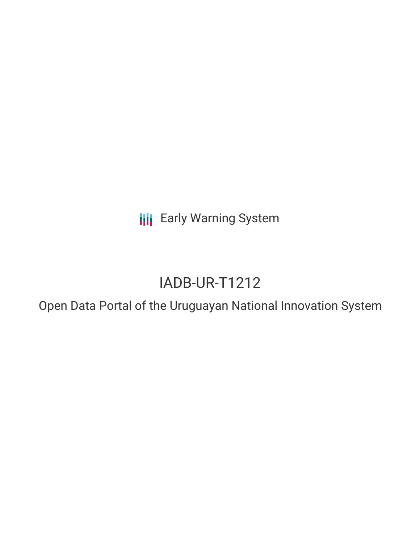**III** Early Warning System

# IADB-UR-T1212

Open Data Portal of the Uruguayan National Innovation System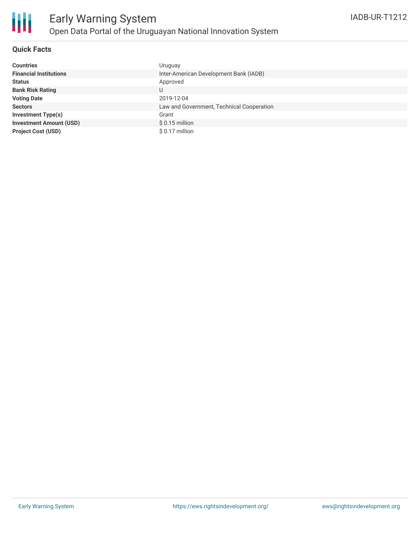

### **Quick Facts**

| <b>Countries</b>               | Uruguay                                   |
|--------------------------------|-------------------------------------------|
| <b>Financial Institutions</b>  | Inter-American Development Bank (IADB)    |
| <b>Status</b>                  | Approved                                  |
| <b>Bank Risk Rating</b>        | U                                         |
| <b>Voting Date</b>             | 2019-12-04                                |
| <b>Sectors</b>                 | Law and Government, Technical Cooperation |
| <b>Investment Type(s)</b>      | Grant                                     |
| <b>Investment Amount (USD)</b> | $$0.15$ million                           |
| <b>Project Cost (USD)</b>      | \$ 0.17 million                           |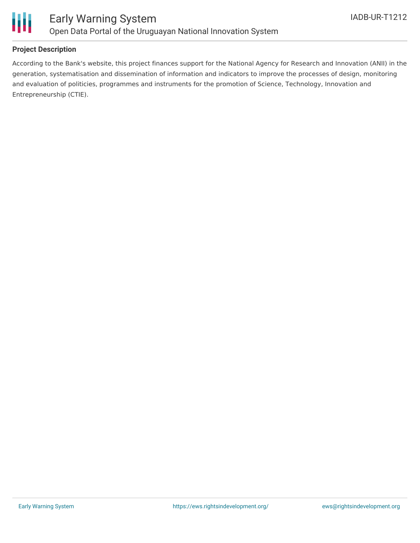

### **Project Description**

According to the Bank's website, this project finances support for the National Agency for Research and Innovation (ANII) in the generation, systematisation and dissemination of information and indicators to improve the processes of design, monitoring and evaluation of politicies, programmes and instruments for the promotion of Science, Technology, Innovation and Entrepreneurship (CTIE).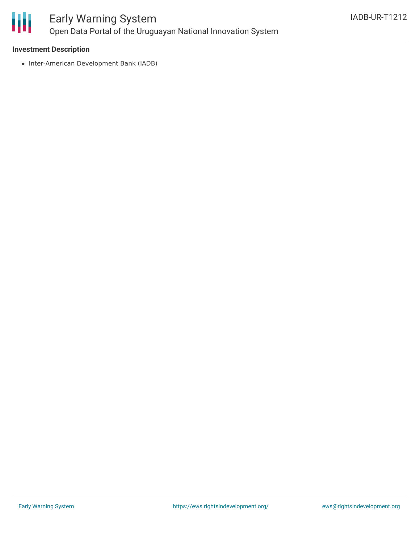

# Early Warning System Open Data Portal of the Uruguayan National Innovation System

### **Investment Description**

• Inter-American Development Bank (IADB)